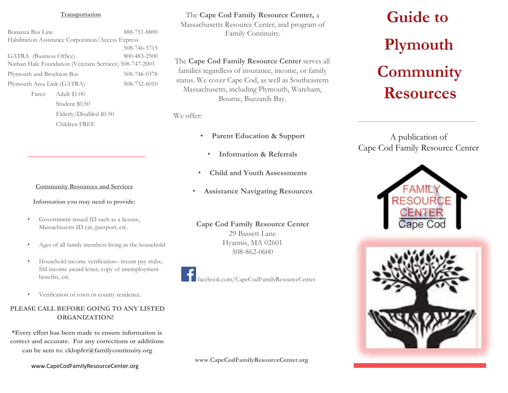#### **Transportation**

Bonanza Bus Line 888-751-8800 Habilitation Assistance Corporation/Access Express 508-746-5715 GATRA (Business Office) 800-483-2500 Nathan Hale Foundation (Veterans Services) 508-747-2003 Plymouth and Brockton Bus 508-746-0378 Plymouth Area Link (GATRA) 508-732-6010 Fares: Adult \$1.00 Student \$0.50 Elderly/Disabled \$0.50 Children FREE

#### **Community Resources and Services**

**\_\_\_\_\_\_\_\_\_\_\_\_\_\_\_\_\_\_\_\_\_\_\_\_\_\_\_\_\_\_\_\_\_\_\_** 

**Information you may need to provide:** 

- Government issued ID such as a license, Massachusetts ID car, passport, etc.
- Ages of all family members living in the household
- Household income verification– recent pay stubs, SSI income award letter, copy of unemployment benefits, etc.
- Verification of town or county residence.

# **PLEASE CALL BEFORE GOING TO ANY LISTED ORGANIZATION!**

**\*Every effort has been made to ensure information is correct and accurate. For any corrections or additions can be sent to: cklopfer@familycontinuity.org** 

The **Cape Cod Family Resource Center,** a Massachusetts Resource Center, and program of Family Continuity.

The **Cape Cod Family Resource Center** serves all families regardless of insurance, income, or family status. We cover Cape Cod, as well as Southeastern Massachusetts, including Plymouth, Wareham, Bourne, Buzzards Bay.

We offer:

- **Parent Education & Support**
	- **Information & Referrals**
- **Child and Youth Assessments**
- **Assistance Navigating Resources**

**Cape Cod Family Resource Center**  29 Bassett Lane Hyannis, MA 02601 508-862-0600



facebook.com/CapeCodFamilyResourceCenter

**www.CapeCodFamilyResourceCenter.org**

# **Guide to** Plymouth Community **Resources**

A publication of Cape Cod Family Resource Center